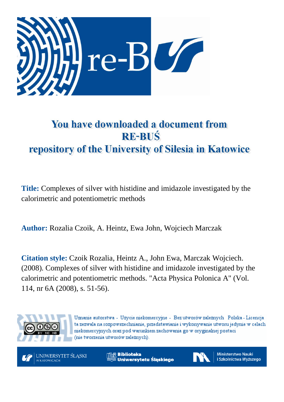

# You have downloaded a document from **RE-BUŚ** repository of the University of Silesia in Katowice

**Title:** Complexes of silver with histidine and imidazole investigated by the calorimetric and potentiometric methods

**Author:** Rozalia Czoik, A. Heintz, Ewa John, Wojciech Marczak

**Citation style:** Czoik Rozalia, Heintz A., John Ewa, Marczak Wojciech. (2008). Complexes of silver with histidine and imidazole investigated by the calorimetric and potentiometric methods. "Acta Physica Polonica A" (Vol. 114, nr 6A (2008), s. 51-56).



Uznanie autorstwa - Użycie niekomercyjne - Bez utworów zależnych Polska - Licencja ta zezwala na rozpowszechnianie, przedstawianie i wykonywanie utworu jedynie w celach niekomercyjnych oraz pod warunkiem zachowania go w oryginalnej postaci (nie tworzenia utworów zależnych).



**Biblioteka** Uniwersytetu Śląskiego



**Ministerstwo Nauki** i Szkolnictwa Wyższego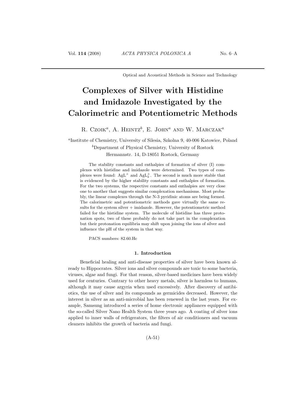Optical and Acoustical Methods in Science and Technology

# Complexes of Silver with Histidine and Imidazole Investigated by the Calorimetric and Potentiometric Methods

R. Czoik<sup>a</sup>, A. Heintz<sup>b</sup>, E. John<sup>a</sup> and W. Marczak<sup>a</sup>

a Institute of Chemistry, University of Silesia, Szkolna 9, 40-006 Katowice, Poland  $b$ Department of Physical Chemistry, University of Rostock Hermannstr. 14, D-18051 Rostock, Germany

The stability constants and enthalpies of formation of silver (I) complexes with histidine and imidazole were determined. Two types of complexes were found:  $AgL^+$  and  $AgL^+_2$ . The second is much more stable that is evidenced by the higher stability constants and enthalpies of formation. For the two systems, the respective constants and enthalpies are very close one to another that suggests similar complexation mechanisms. Most probably, the linear complexes through the N-3 pyridinic atoms are being formed. The calorimetric and potentiometric methods gave virtually the same results for the system silver  $+$  imidazole. However, the potentiometric method failed for the histidine system. The molecule of histidine has three protonation spots, two of these probably do not take part in the complexation but their protonation equilibria may shift upon joining the ions of silver and influence the pH of the system in that way.

PACS numbers: 82.60.Hc

# 1. Introduction

Beneficial healing and anti-disease properties of silver have been known already to Hippocrates. Silver ions and silver compounds are toxic to some bacteria, viruses, algae and fungi. For that reason, silver-based medicines have been widely used for centuries. Contrary to other heavy metals, silver is harmless to humans, although it may cause argyria when used excessively. After discovery of antibiotics, the use of silver and its compounds as germicides decreased. However, the interest in silver as an anti-microbial has been renewed in the last years. For example, Samsung introduced a series of home electronic appliances equipped with the so-called Silver Nano Health System three years ago. A coating of silver ions applied to inner walls of refrigerators, the filters of air conditioners and vacuum cleaners inhibits the growth of bacteria and fungi.

(A-51)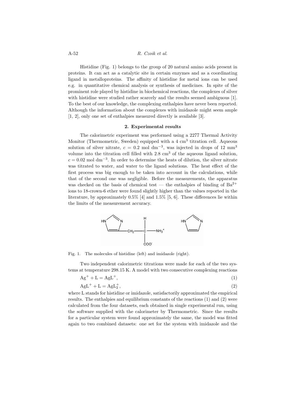# A-52 R. Czoik et al.

Histidine (Fig. 1) belongs to the group of 20 natural amino acids present in proteins. It can act as a catalytic site in certain enzymes and as a coordinating ligand in metalloproteins. The affinity of histidine for metal ions can be used e.g. in quantitative chemical analysis or synthesis of medicines. In spite of the prominent role played by histidine in biochemical reactions, the complexes of silver with histidine were studied rather scarcely and the results seemed ambiguous [1]. To the best of our knowledge, the complexing enthalpies have never been reported. Although the information about the complexes with imidazole might seem ample [1, 2], only one set of enthalpies measured directly is available [3].

#### 2. Experimental results

The calorimetric experiment was performed using a 2277 Thermal Activity Monitor (Thermometric, Sweden) equipped with a 4 cm<sup>3</sup> titration cell. Aqueous solution of silver nitrate,  $c = 0.2$  mol dm<sup>-3</sup>, was injected in drops of 12 mm<sup>3</sup> volume into the titration cell filled with  $2.8 \text{ cm}^3$  of the aqueous ligand solution,  $c = 0.02$  mol dm<sup>-3</sup>. In order to determine the heats of dilution, the silver nitrate was titrated to water, and water to the ligand solutions. The heat effect of the first process was big enough to be taken into account in the calculations, while that of the second one was negligible. Before the measurements, the apparatus was checked on the basis of chemical test — the enthalpies of binding of  $Ba^{2+}$ ions to 18-crown-6 ether were found slightly higher than the values reported in the literature, by approximately  $0.5\%$  [4] and  $1.5\%$  [5, 6]. These differences lie within the limits of the measurement accuracy.



Fig. 1. The molecules of histidine (left) and imidazole (right).

Two independent calorimetric titrations were made for each of the two systems at temperature 298.15 K. A model with two consecutive complexing reactions

$$
Ag^{+} + L = AgL^{+}, \tag{1}
$$

$$
AgL^{+} + L = AgL_{2}^{+},\tag{2}
$$

where L stands for histidine or imidazole, satisfactorily approximated the empirical results. The enthalpies and equilibrium constants of the reactions (1) and (2) were calculated from the four datasets, each obtained in single experimental run, using the software supplied with the calorimeter by Thermometric. Since the results for a particular system were found approximately the same, the model was fitted again to two combined datasets: one set for the system with imidazole and the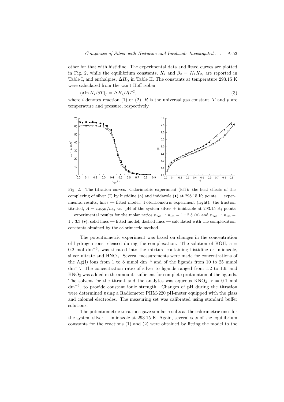other for that with histidine. The experimental data and fitted curves are plotted in Fig. 2, while the equilibrium constants,  $K_i$  and  $\beta_2 = K_1K_2$ , are reported in Table I, and enthalpies,  $\Delta H_i$ , in Table II. The constants at temperature 293.15 K were calculated from the van't Hoff isobar

$$
(\delta \ln K_i / \delta T)_p = \Delta H_i / RT^2,\tag{3}
$$

where i denotes reaction (1) or (2),  $R$  is the universal gas constant,  $T$  and  $p$  are temperature and pressure, respectively.



Fig. 2. The titration curves. Calorimetric experiment (left): the heat effects of the complexing of silver (I) by histidine ( $\circ$ ) and imidazole ( $\bullet$ ) at 298.15 K; points — experimental results, lines — fitted model. Potentiometric experiment (right): the fraction titrated,  $A = n_{KOH}/n_{L}$ , vs. pH of the system silver + imidazole at 293.15 K; points — experimental results for the molar ratios  $n_{\text{Ag}+}$ :  $n_{\text{Im}} = 1$ : 2.5 ( $\circ$ ) and  $n_{\text{Ag}+}$ :  $n_{\text{Im}} =$ 1 : 3.3 (•), solid lines — fitted model, dashed lines — calculated with the complexation constants obtained by the calorimetric method.

The potentiometric experiment was based on changes in the concentration of hydrogen ions released during the complexation. The solution of KOH,  $c =$ 0.2 mol dm<sup>−</sup><sup>3</sup> , was titrated into the mixture containing histidine or imidazole, silver nitrate and HNO3. Several measurements were made for concentrations of the Ag(I) ions from 1 to 8 mmol dm<sup>-3</sup> and of the ligands from 10 to 25 mmol dm<sup>−</sup><sup>3</sup> . The concentration ratio of silver to ligands ranged from 1:2 to 1:6, and HNO<sup>3</sup> was added in the amounts sufficient for complete protonation of the ligands. The solvent for the titrant and the analytes was aqueous  $KNO<sub>3</sub>$ ,  $c = 0.1$  mol dm<sup>−</sup><sup>3</sup> , to provide constant ionic strength. Changes of pH during the titration were determined using a Radiometer PHM-220 pH-meter equipped with the glass and calomel electrodes. The measuring set was calibrated using standard buffer solutions.

The potentiometric titrations gave similar results as the calorimetric ones for the system silver  $+$  imidazole at 293.15 K. Again, several sets of the equilibrium constants for the reactions (1) and (2) were obtained by fitting the model to the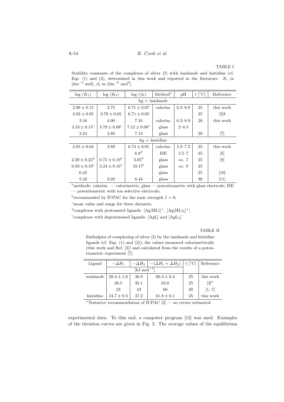A-54 R. Czoik et al.

# TABLE I

Stability constants of the complexes of silver (I) with imidazole and histidine (cf. Eqs. (1) and (2), determined in this work and reported in the literature.  $K_i$  in  $[\text{dm}^{-3} \text{ mol}], \beta_2 \text{ in } [\text{dm}^{-6} \text{ mol}^2].$ 

| $log(K_1)$          | $log(K_2)$        | $\log (\beta_2)$  | Method <sup>a</sup>     | pH          | $t\,\lvert\,^\circ\mathrm{C}\rvert$ | Reference                    |  |  |  |  |
|---------------------|-------------------|-------------------|-------------------------|-------------|-------------------------------------|------------------------------|--|--|--|--|
| $Ag + imidazole$    |                   |                   |                         |             |                                     |                              |  |  |  |  |
| $2.96 \pm 0.15$     | 3.75              | $6.71 \pm 0.07$   | calorim.                | $6.3 - 8.9$ | 25                                  | this work                    |  |  |  |  |
| $2.92 \pm 0.05$     | $3.79 \pm 0.05$   | $6.71 \pm 0.05$   |                         |             | 25                                  | [2]b                         |  |  |  |  |
| 3.16                | 4.00              | 7.16              | calorim.<br>$6.3 - 8.9$ |             | 20                                  | this work                    |  |  |  |  |
| $3.33 \pm 0.15^c$   | $3.79 \pm 0.08^c$ | $7.12 \pm 0.08^c$ | glass                   | $2 - 8.5$   |                                     |                              |  |  |  |  |
| 3.24                | 3.89              | 7.13              | glass                   |             | 20                                  | $\left\lceil 7 \right\rceil$ |  |  |  |  |
| histidine<br>$Ag +$ |                   |                   |                         |             |                                     |                              |  |  |  |  |
| $2.85 \pm 0.04$     | 3.89              | $6.74 \pm 0.01$   | calorim.                | $5.3 - 7.3$ | 25                                  | this work                    |  |  |  |  |
|                     |                   | 6.8 <sup>d</sup>  | ISE                     | $5.5 - 7$   | 25                                  | [8]                          |  |  |  |  |
| $2.30 + 0.22^d$     | $0.75 + 0.19^d$   | 3.05 <sup>d</sup> | glass                   | ca.7        | 25                                  | $\left[9\right]$             |  |  |  |  |
| $6.93 \pm 0.19^e$   | $3.24 \pm 0.16^e$ | $10.17^{e}$       | glass                   | ca.9        | 25                                  |                              |  |  |  |  |
| 6.45                |                   |                   | glass                   |             | 25                                  | [10]                         |  |  |  |  |
| 5.42                | 3.02              | 8.44              | glass                   |             | 30                                  | $[11]$                       |  |  |  |  |

<sup>a</sup>methods: calorim. — calorimetric; glass — potentiometric with glass electrode; ISE — potentiometric with ion selective electrode;

<sup>b</sup> recommended by IUPAC for the ionic strength  $I = 0$ ;

 $\epsilon$  mean value and range for three datasets;

<sup>d</sup>complexes with protonated ligands:  $[Ag(HL)]^+, [Ag(HL)_2]^+;$ 

<sup>e</sup>complexes with deprotonated ligands: [AgL] and  $[AgL_2]^-$ 

### TABLE II

Enthalpies of complexing of silver (I) by the imidazole and histidine ligands (cf. Eqs. (1) and (2)); the values measured calorimetrically (this work and Ref. [3]) and calculated from the results of a potentiometric experiment [7].

| Ligand    | $-\Delta H_1$  | $-(\Delta H_1 + \Delta H_2)$<br>$-\Delta H_2$ |                | $t \,$ [ $^{\circ}$ C] | Reference |
|-----------|----------------|-----------------------------------------------|----------------|------------------------|-----------|
|           |                | $[kJ \text{ mol}^{-1}]$                       |                |                        |           |
| imidazole | $29.4 \pm 1.0$ | 36.9                                          | $66.3 \pm 0.4$ | 25                     | this work |
|           | 30.5           | 35.1                                          | 65.6           | 25                     | $[3]^{a}$ |
|           | 23             | 43                                            | 66             | 20                     | [1, 7]    |
| histidine | $24.7 \pm 0.3$ | 37.2                                          | $61.8 \pm 0.1$ | 25                     | this work |

<sup>a</sup>Tentative recommendation of IUPAC  $[2]$  — no errors estimated.

experimental data. To this end, a computer program [12] was used. Examples of the titration curves are given in Fig. 2. The average values of the equilibrium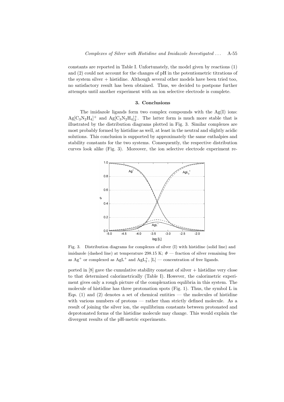constants are reported in Table I. Unfortunately, the model given by reactions (1) and (2) could not account for the changes of pH in the potentiometric titrations of the system silver + histidine. Although several other models have been tried too, no satisfactory result has been obtained. Thus, we decided to postpone further attempts until another experiment with an ion selective electrode is complete.

# 3. Conclusions

The imidazole ligands form two complex compounds with the Ag(I) ions:  $Ag[C_3N_2H_4]^+$  and  $Ag[C_3N_2H_4]^+_2$ . The latter form is much more stable that is illustrated by the distribution diagrams plotted in Fig. 3. Similar complexes are most probably formed by histidine as well, at least in the neutral and slightly acidic solutions. This conclusion is supported by approximately the same enthalpies and stability constants for the two systems. Consequently, the respective distribution curves look alike (Fig. 3). Moreover, the ion selective electrode experiment re-



Fig. 3. Distribution diagrams for complexes of silver (I) with histidine (solid line) and imidazole (dashed line) at temperature 298.15 K;  $\Phi$  — fraction of silver remaining free as  $\text{Ag}^+$  or complexed as  $\text{AgL}^+$  and  $\text{AgL}^+_2$ ,  $\text{[L]}$  — concentration of free ligands.

ported in  $[8]$  gave the cumulative stability constant of silver  $+$  histidine very close to that determined calorimetrically (Table I). However, the calorimetric experiment gives only a rough picture of the complexation equlibria in this system. The molecule of histidine has three protonation spots (Fig. 1). Thus, the symbol L in Eqs.  $(1)$  and  $(2)$  denotes a set of chemical entities — the molecules of histidine with various numbers of protons — rather than strictly defined molecule. As a result of joining the silver ion, the equilibrium constants between protonated and deprotonated forms of the histidine molecule may change. This would explain the divergent results of the pH-metric experiments.